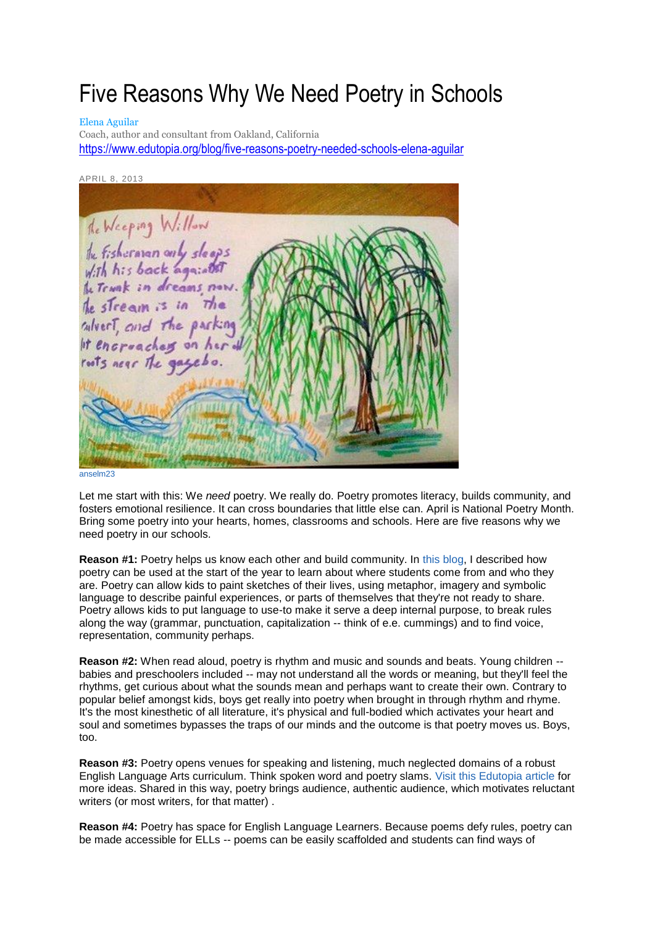## Five Reasons Why We Need Poetry in Schools

[Elena Aguilar](https://www.edutopia.org/users/elena-aguilar)

Coach, author and consultant from Oakland, California <https://www.edutopia.org/blog/five-reasons-poetry-needed-schools-elena-aguilar>

APRIL 8, 2013 ReWeeping Willow the fisheranan only sleeps<br>With his back again off<br>A Trunk in dreams, now. the stream is in the culvert, and the parking It encroached on her of roots near The gazebo. [anselm23](http://www.flickr.com/photos/anselm23/3102482708)

Let me start with this: We *need* poetry. We really do. Poetry promotes literacy, builds community, and fosters emotional resilience. It can cross boundaries that little else can. April is National Poetry Month. Bring some poetry into your hearts, homes, classrooms and schools. Here are five reasons why we need poetry in our schools.

**Reason #1:** Poetry helps us know each other and build community. In [this blog,](https://www.edutopia.org/blog/poetry-lesson-plan-I-am-from-elena-aguilar) I described how poetry can be used at the start of the year to learn about where students come from and who they are. Poetry can allow kids to paint sketches of their lives, using metaphor, imagery and symbolic language to describe painful experiences, or parts of themselves that they're not ready to share. Poetry allows kids to put language to use-to make it serve a deep internal purpose, to break rules along the way (grammar, punctuation, capitalization -- think of e.e. cummings) and to find voice, representation, community perhaps.

**Reason #2:** When read aloud, poetry is rhythm and music and sounds and beats. Young children - babies and preschoolers included -- may not understand all the words or meaning, but they'll feel the rhythms, get curious about what the sounds mean and perhaps want to create their own. Contrary to popular belief amongst kids, boys get really into poetry when brought in through rhythm and rhyme. It's the most kinesthetic of all literature, it's physical and full-bodied which activates your heart and soul and sometimes bypasses the traps of our minds and the outcome is that poetry moves us. Boys, too.

**Reason #3:** Poetry opens venues for speaking and listening, much neglected domains of a robust English Language Arts curriculum. Think spoken word and poetry slams. [Visit this Edutopia article](https://www.edutopia.org/poetry-slam-global-writes) for more ideas. Shared in this way, poetry brings audience, authentic audience, which motivates reluctant writers (or most writers, for that matter) .

**Reason #4:** Poetry has space for English Language Learners. Because poems defy rules, poetry can be made accessible for ELLs -- poems can be easily scaffolded and students can find ways of